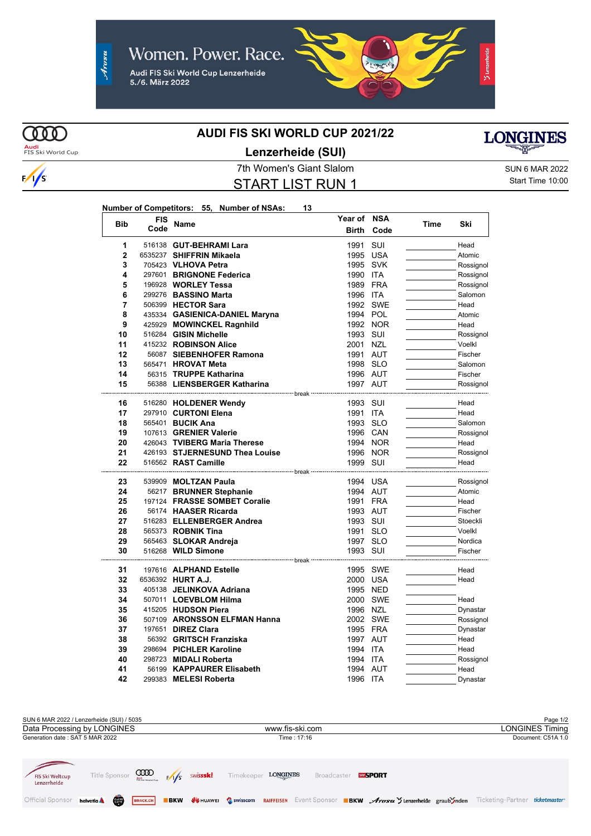

### **AUDI FIS SKI WORLD CUP 2021/22**

**Audi**<br>FIS Ski World Cup

 $\sqrt{s}$ 

 $\omega$ 

## **Lenzerheide (SUI)**

7th Women's Giant Slalom Sun 6 MAR 2022 START LIST RUN 1

Start Time 10:00

**LONGINES** 

#### **Number of Competitors: 55, Number of NSAs: 13**

| <b>Bib</b>     | <b>FIS</b> | Name                           | Year of NSA                                               |          | Time | Ski       |
|----------------|------------|--------------------------------|-----------------------------------------------------------|----------|------|-----------|
|                | Code       |                                | <b>Birth</b>                                              | Code     |      |           |
| 1              |            | 516138 GUT-BEHRAMI Lara        | 1991                                                      | SUI      |      | Head      |
| $\overline{2}$ |            | 6535237 SHIFFRIN Mikaela       | 1995 USA                                                  |          |      | Atomic    |
| 3              |            | 705423 VLHOVA Petra            | 1995 SVK                                                  |          |      | Rossignol |
| 4              |            | 297601 BRIGNONE Federica       | 1990 ITA                                                  |          |      | Rossignol |
| 5              |            | 196928 WORLEY Tessa            | 1989 FRA                                                  |          |      | Rossignol |
| 6              |            | 299276 BASSINO Marta           | 1996 ITA                                                  |          |      | Salomon   |
| 7              |            | 506399 HECTOR Sara             |                                                           | 1992 SWE |      | Head      |
| 8              |            | 435334 GASIENICA-DANIEL Maryna | 1994 POL                                                  |          |      | Atomic    |
| 9              |            | 425929 MOWINCKEL Ragnhild      |                                                           | 1992 NOR |      | Head      |
| 10             |            | 516284 GISIN Michelle          | 1993 SUI                                                  |          |      | Rossignol |
| 11             |            | 415232 ROBINSON Alice          | 2001 NZL                                                  |          |      | Voelkl    |
| 12             |            | 56087 SIEBENHOFER Ramona       | 1991 AUT                                                  |          |      | Fischer   |
| 13             |            | 565471 HROVAT Meta             | 1998 SLO                                                  |          |      | Salomon   |
| 14             |            | 56315 TRUPPE Katharina         | 1996 AUT                                                  |          |      | Fischer   |
| 15             |            | 56388 LIENSBERGER Katharina    | 1997 AUT                                                  |          |      | Rossignol |
|                |            |                                |                                                           |          |      |           |
| 16             |            | 516280 HOLDENER Wendy          | 1993 SUI                                                  |          |      | Head      |
| 17             |            | 297910 CURTONI Elena           | 1991 ITA                                                  |          |      | Head      |
| 18             |            | 565401 <b>BUCIK Ana</b>        | 1993 SLO                                                  |          |      | Salomon   |
| 19             |            | 107613 GRENIER Valerie         |                                                           | 1996 CAN |      | Rossignol |
| 20             |            | 426043 TVIBERG Maria Therese   |                                                           | 1994 NOR |      | Head      |
| 21             |            | 426193 STJERNESUND Thea Louise |                                                           | 1996 NOR |      | Rossignol |
| 22             |            | 516562 RAST Camille            | 1999 SUI<br>------------------------ break -------------- |          |      | Head      |
| 23             |            | 539909 MOLTZAN Paula           | 1994 USA                                                  |          |      | Rossignol |
| 24             |            | 56217 BRUNNER Stephanie        | 1994 AUT                                                  |          |      | Atomic    |
| 25             |            | 197124 FRASSE SOMBET Coralie   | 1991 FRA                                                  |          |      | Head      |
| 26             |            | 56174 HAASER Ricarda           | 1993 AUT                                                  |          |      | Fischer   |
| 27             |            | 516283 ELLENBERGER Andrea      | 1993 SUI                                                  |          |      | Stoeckli  |
| 28             |            | 565373 ROBNIK Tina             | 1991 SLO                                                  |          |      | Voelkl    |
| 29             |            | 565463 SLOKAR Andreja          | 1997 SLO                                                  |          |      | Nordica   |
| 30             |            | 516268 WILD Simone             | 1993 SUI                                                  |          |      | Fischer   |
|                |            | --------------- break          |                                                           |          |      |           |
| 31             |            | 197616 ALPHAND Estelle         |                                                           | 1995 SWE |      | Head      |
| 32             |            | 6536392 HURT A.J.              | 2000 USA                                                  |          |      | Head      |
| 33             |            | 405138 JELINKOVA Adriana       |                                                           | 1995 NED |      |           |
| 34             |            | 507011 LOEVBLOM Hilma          |                                                           | 2000 SWE |      | Head      |
| 35             |            | 415205 HUDSON Piera            | 1996 NZL                                                  |          |      | Dynastar  |
| 36             |            | 507109 ARONSSON ELFMAN Hanna   |                                                           | 2002 SWE |      | Rossignol |
| 37             |            | 197651 <b>DIREZ Clara</b>      | 1995 FRA                                                  |          |      | Dynastar  |
| 38             |            | 56392 GRITSCH Franziska        | 1997 AUT                                                  |          |      | Head      |
| 39             |            | 298694 PICHLER Karoline        | 1994 ITA                                                  |          |      | Head      |
| 40             |            | 298723 MIDALI Roberta          | 1994 ITA                                                  |          |      | Rossignol |
| 41             |            | 56199 KAPPAURER Elisabeth      | 1994 AUT                                                  |          |      | Head      |
| 42             |            | 299383 MELESI Roberta          | 1996 ITA                                                  |          |      | Dynastar  |